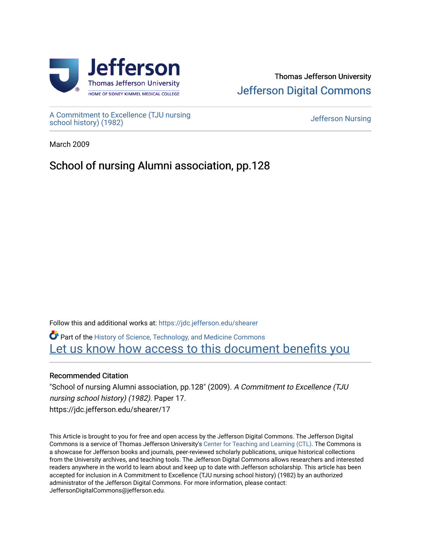

## Thomas Jefferson University [Jefferson Digital Commons](https://jdc.jefferson.edu/)

[A Commitment to Excellence \(TJU nursing](https://jdc.jefferson.edu/shearer) [school history\) \(1982\)](https://jdc.jefferson.edu/shearer) [Jefferson Nursing](https://jdc.jefferson.edu/jefferson_nursing) 

March 2009

## School of nursing Alumni association, pp.128

Follow this and additional works at: [https://jdc.jefferson.edu/shearer](https://jdc.jefferson.edu/shearer?utm_source=jdc.jefferson.edu%2Fshearer%2F17&utm_medium=PDF&utm_campaign=PDFCoverPages)

Part of the [History of Science, Technology, and Medicine Commons](http://network.bepress.com/hgg/discipline/500?utm_source=jdc.jefferson.edu%2Fshearer%2F17&utm_medium=PDF&utm_campaign=PDFCoverPages)  [Let us know how access to this document benefits you](https://library.jefferson.edu/forms/jdc/index.cfm) 

## Recommended Citation

"School of nursing Alumni association, pp.128" (2009). A Commitment to Excellence (TJU nursing school history) (1982). Paper 17. https://jdc.jefferson.edu/shearer/17

This Article is brought to you for free and open access by the Jefferson Digital Commons. The Jefferson Digital Commons is a service of Thomas Jefferson University's [Center for Teaching and Learning \(CTL\)](http://www.jefferson.edu/university/teaching-learning.html/). The Commons is a showcase for Jefferson books and journals, peer-reviewed scholarly publications, unique historical collections from the University archives, and teaching tools. The Jefferson Digital Commons allows researchers and interested readers anywhere in the world to learn about and keep up to date with Jefferson scholarship. This article has been accepted for inclusion in A Commitment to Excellence (TJU nursing school history) (1982) by an authorized administrator of the Jefferson Digital Commons. For more information, please contact: JeffersonDigitalCommons@jefferson.edu.